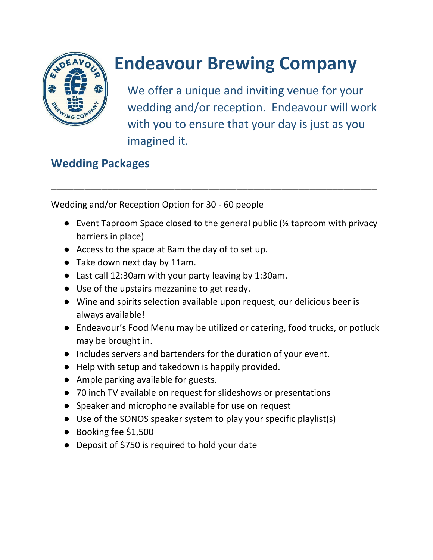

## **Endeavour Brewing Company**

We offer a unique and inviting venue for your wedding and/or reception. Endeavour will work with you to ensure that your day is just as you imagined it.

## **Wedding Packages**

Wedding and/or Reception Option for 30 - 60 people

● Event Taproom Space closed to the general public (½ taproom with privacy barriers in place)

\_\_\_\_\_\_\_\_\_\_\_\_\_\_\_\_\_\_\_\_\_\_\_\_\_\_\_\_\_\_\_\_\_\_\_\_\_\_\_\_\_\_\_\_\_\_\_\_\_\_\_\_\_\_\_\_\_\_

- Access to the space at 8am the day of to set up.
- Take down next day by 11am.
- Last call 12:30am with your party leaving by 1:30am.
- Use of the upstairs mezzanine to get ready.
- Wine and spirits selection available upon request, our delicious beer is always available!
- Endeavour's Food Menu may be utilized or catering, food trucks, or potluck may be brought in.
- Includes servers and bartenders for the duration of your event.
- Help with setup and takedown is happily provided.
- Ample parking available for guests.
- 70 inch TV available on request for slideshows or presentations
- Speaker and microphone available for use on request
- Use of the SONOS speaker system to play your specific playlist(s)
- Booking fee \$1,500
- Deposit of \$750 is required to hold your date